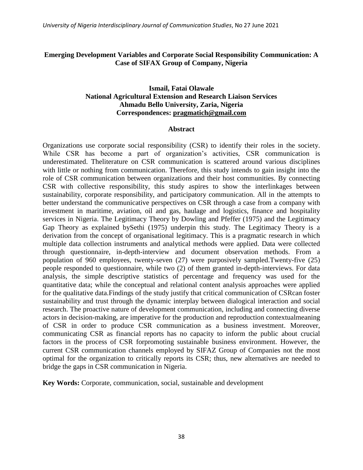# **Emerging Development Variables and Corporate Social Responsibility Communication: A Case of SIFAX Group of Company, Nigeria**

# **Ismail, Fatai Olawale National Agricultural Extension and Research Liaison Services Ahmadu Bello University, Zaria, Nigeria Correspondences: [pragmatich@gmail.com](mailto:pragmatich@gmail.com)**

#### **Abstract**

Organizations use corporate social responsibility (CSR) to identify their roles in the society. While CSR has become a part of organization's activities, CSR communication is underestimated. Theliterature on CSR communication is scattered around various disciplines with little or nothing from communication. Therefore, this study intends to gain insight into the role of CSR communication between organizations and their host communities. By connecting CSR with collective responsibility, this study aspires to show the interlinkages between sustainability, corporate responsibility, and participatory communication. All in the attempts to better understand the communicative perspectives on CSR through a case from a company with investment in maritime, aviation, oil and gas, haulage and logistics, finance and hospitality services in Nigeria. The Legitimacy Theory by Dowling and Pfeffer (1975) and the Legitimacy Gap Theory as explained bySethi (1975) underpin this study. The Legitimacy Theory is a derivation from the concept of organisational legitimacy. This is a pragmatic research in which multiple data collection instruments and analytical methods were applied. Data were collected through questionnaire, in-depth-interview and document observation methods. From a population of 960 employees, twenty-seven (27) were purposively sampled.Twenty-five (25) people responded to questionnaire, while two (2) of them granted in-depth-interviews. For data analysis, the simple descriptive statistics of percentage and frequency was used for the quantitative data; while the conceptual and relational content analysis approaches were applied for the qualitative data.Findings of the study justify that critical communication of CSRcan foster sustainability and trust through the dynamic interplay between dialogical interaction and social research. The proactive nature of development communication, including and connecting diverse actors in decision-making, are imperative for the production and reproduction contextualmeaning of CSR in order to produce CSR communication as a business investment. Moreover, communicating CSR as financial reports has no capacity to inform the public about crucial factors in the process of CSR forpromoting sustainable business environment. However, the current CSR communication channels employed by SIFAZ Group of Companies not the most optimal for the organization to critically reports its CSR; thus, new alternatives are needed to bridge the gaps in CSR communication in Nigeria.

**Key Words:** Corporate, communication, social, sustainable and development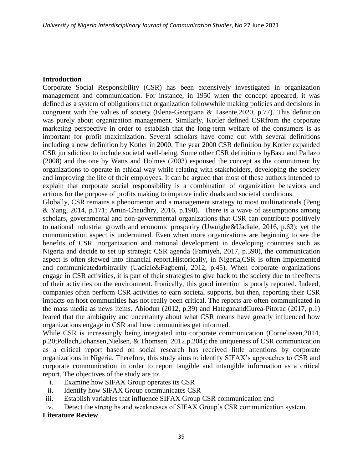### **Introduction**

Corporate Social Responsibility (CSR) has been extensively investigated in organization management and communication. For instance, in 1950 when the concept appeared, it was defined as a system of obligations that organization followwhile making policies and decisions in congruent with the values of society (Elena-Georgiana & Tasente,2020, p.77). This definition was purely about organization management. Similarly, Kotler defined CSRfrom the corporate marketing perspective in order to establish that the long-term welfare of the consumers is as important for profit maximization. Several scholars have come out with several definitions including a new definition by Kotler in 2000. The year 2000 CSR definition by Kotler expanded CSR jurisdiction to include societal well-being. Some other CSR definitions byBasu and Pallazo (2008) and the one by Watts and Holmes (2003) espoused the concept as the commitment by organizations to operate in ethical way while relating with stakeholders, developing the society and improving the life of their employees. It can be argued that most of these authors intended to explain that corporate social responsibility is a combination of organization behaviors and actions for the purpose of profits making to improve individuals and societal conditions.

Globally, CSR remains a phenomenon and a management strategy to most multinationals (Peng & Yang, 2014, p.171; Amin-Chaudhry, 2016, p.190). There is a wave of assumptions among scholars, governmental and non-governmental organizations that CSR can contribute positively to national industrial growth and economic prosperity (Uwuigbe&Uadiale, 2016, p.63); yet the communication aspect is undermined. Even when more organizations are beginning to see the benefits of CSR inorganization and national development in developing countries such as Nigeria and decide to set up strategic CSR agenda (Famiyeh, 2017, p.390), the communication aspect is often skewed into financial report.Historically, in Nigeria,CSR is often implemented and communicatedarbitrarily (Uadiale&Fagbemi, 2012, p.45). When corporate organizations engage in CSR activities, it is part of their strategies to give back to the society due to theeffects of their activities on the environment. Ironically, this good intention is poorly reported. Indeed, companies often perform CSR activities to earn societal supports, but then, reporting their CSR impacts on host communities has not really been critical. The reports are often communicated in the mass media as news items. Abiodun (2012, p.39) and HateganandCurea-Pitorac (2017, p.1) feared that the ambiguity and uncertainty about what CSR means have greatly influenced how organizations engage in CSR and how communities get informed.

While CSR is increasingly being integrated into corporate communication (Cornelissen,2014, p.20;Pollach,Johansen,Nielsen, & Thomsen*,* 2012.p.204); the uniqueness of CSR communication as a critical report based on social research has received little attentions by corporate organizations in Nigeria. Therefore, this study aims to identify SIFAX"s approaches to CSR and corporate communication in order to report tangible and intangible information as a critical report. The objectives of the study are to:

- i. Examine how SIFAX Group operates its CSR
- ii. Identify how SIFAX Group communicates CSR
- iii. Establish variables that influence SIFAX Group CSR communication and
- iv. Detect the strengths and weaknesses of SIFAX Group"s CSR communication system.

#### **Literature Review**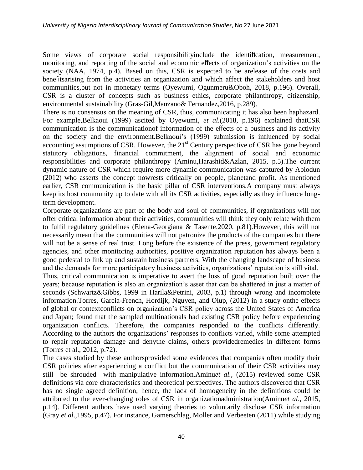Some views of corporate social responsibilityinclude the identification, measurement, monitoring, and reporting of the social and economic effects of organization"s activities on the society (NAA, 1974, p.4). Based on this, CSR is expected to be arelease of the costs and benefitsarising from the activities an organization and which affect the stakeholders and host communities,but not in monetary terms (Oyewumi, Ogunmeru&Oboh, 2018, p.196). Overall, CSR is a cluster of concepts such as business ethics, corporate philanthropy, citizenship, environmental sustainability (Gras-Gil,Manzano& Fernandez*,*2016, p.289).

There is no consensus on the meaning of CSR, thus, communicating it has also been haphazard. For example,Belkaoui (1999) ascited by Oyewumi, *et al.*(2018, p.196) explained thatCSR communication is the communicationof information of the effects of a business and its activity on the society and the environment.Belkaoui"s (1999) submission is influenced by social accounting assumptions of CSR. However, the  $21<sup>st</sup>$  Century perspective of CSR has gone beyond statutory obligations, financial commitment, the alignment of social and economic responsibilities and corporate philanthropy (Aminu,Harashid&Azlan, 2015, p.5).The current dynamic nature of CSR which require more dynamic communication was captured by Abiodun (2012) who asserts the concept nowrests critically on people, planetand profit. As mentioned earlier, CSR communication is the basic pillar of CSR interventions.A company must always keep its host community up to date with all its CSR activities, especially as they influence longterm development.

Corporate organizations are part of the body and soul of communities, if organizations will not offer critical information about their activities, communities will think they only relate with them to fulfil regulatory guidelines (Elena-Georgiana & Tasente,2020, p.81).However, this will not necessarily mean that the communities will not patronize the products of the companies but there will not be a sense of real trust. Long before the existence of the press, government regulatory agencies, and other monitoring authorities, positive organization reputation has always been a good pedestal to link up and sustain business partners. With the changing landscape of business and the demands for more participatory business activities, organizations' reputation is still vital. Thus, critical communication is imperative to avert the loss of good reputation built over the years; because reputation is also an organization's asset that can be shattered in just a matter of seconds (Schwartz&Gibbs, 1999 in Harila&Petrini, 2003, p.1) through wrong and incomplete information.Torres, Garcia-French, Hordijk, Nguyen, and Olup, (2012) in a study onthe effects of global or contextconflicts on organization"s CSR policy across the United States of America and Japan; found that the sampled multinationals had existing CSR policy before experiencing organization conflicts. Therefore, the companies responded to the conflicts differently. According to the authors the organizations" responses to conflicts varied, while some attempted to repair reputation damage and denythe claims, others providedremedies in different forms (Torres et al., 2012, p.72).

The cases studied by these authorsprovided some evidences that companies often modify their CSR policies after experiencing a conflict but the communication of their CSR activities may still be shrouded with manipulative information.Aminu*et al.,* (2015) reviewed some CSR definitions via core characteristics and theoretical perspectives. The authors discovered that CSR has no single agreed definition, hence, the lack of homogeneity in the definitions could be attributed to the ever-changing roles of CSR in organizationadministration(Aminu*et al*., 2015, p.14). Different authors have used varying theories to voluntarily disclose CSR information (Gray *et al*.,1995, p.47). For instance, Gamerschlag, Moller and Verbeeten (2011) while studying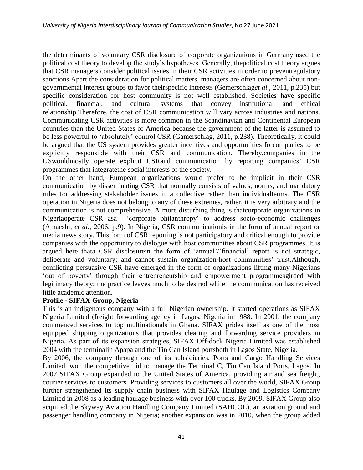the determinants of voluntary CSR disclosure of corporate organizations in Germany used the political cost theory to develop the study"s hypotheses. Generally, thepolitical cost theory argues that CSR managers consider political issues in their CSR activities in order to preventregulatory sanctions.Apart the consideration for political matters, managers are often concerned about nongovernmental interest groups to favor theirspecific interests (Gemerschlag*et al.,* 2011, p.235) but specific consideration for host community is not well established. Societies have specific political, financial, and cultural systems that convey institutional and ethical relationship.Therefore, the cost of CSR communication will vary across industries and nations. Communicating CSR activities is more common in the Scandinavian and Continental European countries than the United States of America because the government of the latter is assumed to be less powerful to "absolutely" control CSR (Gamerschlag, 2011, p.238). Theoretically, it could be argued that the US system provides greater incentives and opportunities forcompanies to be explicitly responsible with their CSR and communication. Thereby,companies in the USwouldmostly operate explicit CSRand communication by reporting companies" CSR programmes that integratethe social interests of the society.

On the other hand, European organizations would prefer to be implicit in their CSR communication by disseminating CSR that normally consists of values, norms, and mandatory rules for addressing stakeholder issues in a collective rather than individualterms. The CSR operation in Nigeria does not belong to any of these extremes, rather, it is very arbitrary and the communication is not comprehensive. A more disturbing thing is thatcorporate organizations in Nigeriaoperate CSR asa "corporate philanthropy" to address socio-economic challenges (Amaeshi, *et al*., 2006, p.9). In Nigeria, CSR communicationis in the form of annual report or media news story. This form of CSR reporting is not participatory and critical enough to provide companies with the opportunity to dialogue with host communities about CSR programmes. It is argued here thata CSR disclosurein the form of 'annual'/'financial' report is not strategic, deliberate and voluntary; and cannot sustain organization-host communities' trust.Although, conflicting persuasive CSR have emerged in the form of organizations lifting many Nigerians 'out of poverty' through their entrepreneurship and empowerment programmesgirded with legitimacy theory; the practice leaves much to be desired while the communication has received little academic attention.

# **Profile - SIFAX Group, Nigeria**

This is an indigenous company with a full Nigerian ownership. It started operations as SIFAX Nigeria Limited (freight forwarding agency in Lagos, Nigeria in 1988. In 2001, the company commenced services to top multinationals in Ghana. SIFAX prides itself as one of the most equipped shipping organizations that provides clearing and forwarding service providers in Nigeria. As part of its expansion strategies, SIFAX Off-dock Nigeria Limited was established 2004 with the terminalin Apapa and the Tin Can Island portsboth in Lagos State, Nigeria.

By 2006, the company through one of its subsidiaries, Ports and Cargo Handling Services Limited, won the competitive bid to manage the Terminal C, Tin Can Island Ports, Lagos. In 2007 SIFAX Group expanded to the United States of America, providing air and sea freight, courier services to customers. Providing services to customers all over the world, SIFAX Group further strengthened its supply chain business with SIFAX Haulage and Logistics Company Limited in 2008 as a leading haulage business with over 100 trucks. By 2009, SIFAX Group also acquired the Skyway Aviation Handling Company Limited (SAHCOL), an aviation ground and passenger handling company in Nigeria; another expansion was in 2010, when the group added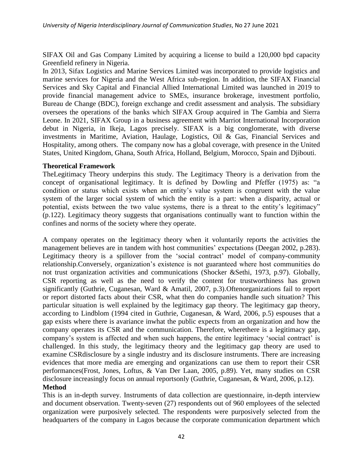SIFAX Oil and Gas Company Limited by acquiring a license to build a 120,000 bpd capacity Greenfield refinery in Nigeria.

In 2013, Sifax Logistics and Marine Services Limited was incorporated to provide logistics and marine services for Nigeria and the West Africa sub-region. In addition, the SIFAX Financial Services and Sky Capital and Financial Allied International Limited was launched in 2019 to provide financial management advice to SMEs, insurance brokerage, investment portfolio, Bureau de Change (BDC), foreign exchange and credit assessment and analysis. The subsidiary oversees the operations of the banks which SIFAX Group acquired in The Gambia and Sierra Leone. In 2021, SIFAX Group in a business agreement with Marriot International Incorporation debut in Nigeria, in Ikeja, Lagos precisely. SIFAX is a big conglomerate, with diverse investments in Maritime, Aviation, Haulage, Logistics, Oil & Gas, Financial Services and Hospitality, among others. The company now has a global coverage, with presence in the United States, United Kingdom, Ghana, South Africa, Holland, Belgium, Morocco, Spain and Djibouti.

# **Theoretical Framework**

TheLegitimacy Theory underpins this study. The Legitimacy Theory is a derivation from the concept of organisational legitimacy. It is defined by Dowling and Pfeffer (1975) as: "a condition or status which exists when an entity"s value system is congruent with the value system of the larger social system of which the entity is a part: when a disparity, actual or potential, exists between the two value systems, there is a threat to the entity's legitimacy" (p.122). Legitimacy theory suggests that organisations continually want to function within the confines and norms of the society where they operate.

A company operates on the legitimacy theory when it voluntarily reports the activities the management believes are in tandem with host communities' expectations (Deegan 2002, p.283). Legitimacy theory is a spillover from the 'social contract' model of company-community relationship.Conversely, organization"s existence is not guaranteed where host communities do not trust organization activities and communications (Shocker &Sethi, 1973, p.97). Globally, CSR reporting as well as the need to verify the content for trustworthiness has grown significantly (Guthrie, Cuganesan, Ward & Amatil, 2007, p.3).Oftenorganizations fail to report or report distorted facts about their CSR, what then do companies handle such situation? This particular situation is well explained by the legitimacy gap theory. The legitimacy gap theory, according to Lindblom (1994 cited in Guthrie, Cuganesan, & Ward, 2006, p.5) espouses that a gap exists where there is avariance inwhat the public expects from an organization and how the company operates its CSR and the communication. Therefore, wherethere is a legitimacy gap, company's system is affected and when such happens, the entire legitimacy 'social contract' is challenged. In this study, the legitimacy theory and the legitimacy gap theory are used to examine CSRdisclosure by a single industry and its disclosure instruments. There are increasing evidences that more media are emerging and organizations can use them to report their CSR performances(Frost, Jones, Loftus, & Van Der Laan, 2005, p.89). Yet, many studies on CSR disclosure increasingly focus on annual reportsonly (Guthrie, Cuganesan, & Ward, 2006, p.12). **Method**

This is an in-depth survey. Instruments of data collection are questionnaire, in-depth interview and document observation. Twenty-seven (27) respondents out of 960 employees of the selected organization were purposively selected. The respondents were purposively selected from the headquarters of the company in Lagos because the corporate communication department which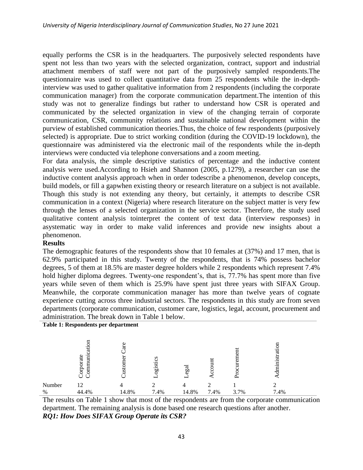equally performs the CSR is in the headquarters. The purposively selected respondents have spent not less than two years with the selected organization, contract, support and industrial attachment members of staff were not part of the purposively sampled respondents.The questionnaire was used to collect quantitative data from 25 respondents while the in-depthinterview was used to gather qualitative information from 2 respondents (including the corporate communication manager) from the corporate communication department.The intention of this study was not to generalize findings but rather to understand how CSR is operated and communicated by the selected organization in view of the changing terrain of corporate communication, CSR, community relations and sustainable national development within the purview of established communication theories.Thus, the choice of few respondents (purposively selected) is appropriate. Due to strict working condition (during the COVID-19 lockdown), the questionnaire was administered via the electronic mail of the respondents while the in-depth interviews were conducted via telephone conversations and a zoom meeting.

For data analysis, the simple descriptive statistics of percentage and the inductive content analysis were used.According to Hsieh and Shannon (2005, p.1279), a researcher can use the inductive content analysis approach when in order todescribe a phenomenon, develop concepts, build models, or fill a gapwhen existing theory or research literature on a subject is not available. Though this study is not extending any theory, but certainly, it attempts to describe CSR communication in a context (Nigeria) where research literature on the subject matter is very few through the lenses of a selected organization in the service sector. Therefore, the study used qualitative content analysis tointerpret the content of text data (interview responses) in asystematic way in order to make valid inferences and provide new insights about a phenomenon.

## **Results**

The demographic features of the respondents show that 10 females at (37%) and 17 men, that is 62.9% participated in this study. Twenty of the respondents, that is 74% possess bachelor degrees, 5 of them at 18.5% are master degree holders while 2 respondents which represent 7.4% hold higher diploma degrees. Twenty-one respondent's, that is, 77.7% has spent more than five years while seven of them which is 25.9% have spent just three years with SIFAX Group. Meanwhile, the corporate communication manager has more than twelve years of cognate experience cutting across three industrial sectors. The respondents in this study are from seven departments (corporate communication, customer care, logistics, legal, account, procurement and administration. The break down in Table 1 below.

| Table 1: Respondents per department |                                             |              |              |           |      |           |               |
|-------------------------------------|---------------------------------------------|--------------|--------------|-----------|------|-----------|---------------|
|                                     | ation<br>orporate<br>ommuni<br>$\mathsf{C}$ | are<br>ustoi | gistics<br>− | egal<br>− | аuп  | ã<br>urem | dministration |
| Number                              | 12                                          | 4            |              | 4         |      |           |               |
| %                                   | 44.4%                                       | 14.8%        | 7.4%         | 14.8%     | 7.4% | 3.7%      | 7.4%          |

The results on Table 1 show that most of the respondents are from the corporate communication department. The remaining analysis is done based one research questions after another. *RQ1: How Does SIFAX Group Operate its CSR?*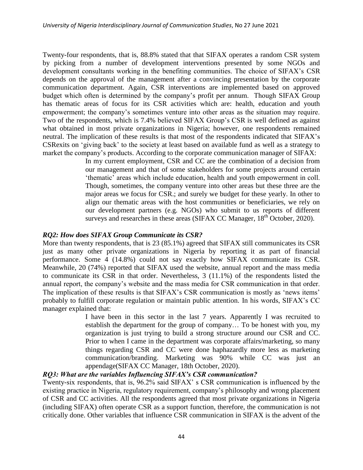Twenty-four respondents, that is, 88.8% stated that that SIFAX operates a random CSR system by picking from a number of development interventions presented by some NGOs and development consultants working in the benefiting communities. The choice of SIFAX"s CSR depends on the approval of the management after a convincing presentation by the corporate communication department. Again, CSR interventions are implemented based on approved budget which often is determined by the company"s profit per annum. Though SIFAX Group has thematic areas of focus for its CSR activities which are: health, education and youth empowerment; the company's sometimes venture into other areas as the situation may require. Two of the respondents, which is 7.4% believed SIFAX Group's CSR is well defined as against what obtained in most private organizations in Nigeria; however, one respondents remained neutral. The implication of these results is that most of the respondents indicated that SIFAX"s CSRexits on "giving back" to the society at least based on available fund as well as a strategy to market the company"s products. According to the corporate communication manager of SIFAX:

> In my current employment, CSR and CC are the combination of a decision from our management and that of some stakeholders for some projects around certain "thematic" areas which include education, health and youth empowerment in coll. Though, sometimes, the company venture into other areas but these three are the major areas we focus for CSR.; and surely we budget for these yearly. In other to align our thematic areas with the host communities or beneficiaries, we rely on our development partners (e.g. NGOs) who submit to us reports of different surveys and researches in these areas (SIFAX CC Manager,  $18<sup>th</sup>$  October, 2020).

# *RQ2: How does SIFAX Group Communicate its CSR?*

More than twenty respondents, that is 23 (85.1%) agreed that SIFAX still communicates its CSR just as many other private organizations in Nigeria by reporting it as part of financial performance. Some 4 (14.8%) could not say exactly how SIFAX communicate its CSR. Meanwhile, 20 (74%) reported that SIFAX used the website, annual report and the mass media to communicate its CSR in that order. Nevertheless, 3 (11.1%) of the respondents listed the annual report, the company"s website and the mass media for CSR communication in that order. The implication of these results is that SIFAX's CSR communication is mostly as 'news items' probably to fulfill corporate regulation or maintain public attention. In his words, SIFAX"s CC manager explained that:

> I have been in this sector in the last 7 years. Apparently I was recruited to establish the department for the group of company… To be honest with you, my organization is just trying to build a strong structure around our CSR and CC. Prior to when I came in the department was corporate affairs/marketing, so many things regarding CSR and CC were done haphazardly more less as marketing communication/branding. Marketing was 90% while CC was just an appendage(SIFAX CC Manager, 18th October, 2020).

# *RQ3: What are the variables Influencing SIFAX's CSR communication?*

Twenty-six respondents, that is, 96.2% said SIFAX" s CSR communication is influenced by the existing practice in Nigeria, regulatory requirement, company"s philosophy and wrong placement of CSR and CC activities. All the respondents agreed that most private organizations in Nigeria (including SIFAX) often operate CSR as a support function, therefore, the communication is not critically done. Other variables that influence CSR communication in SIFAX is the advent of the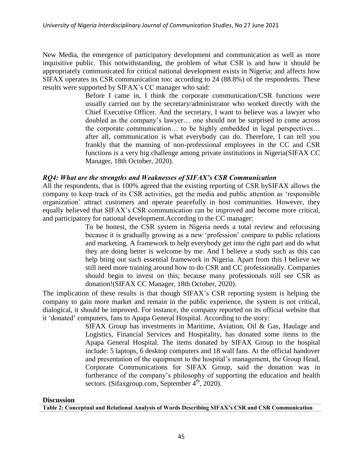New Media, the emergence of participatory development and communication as well as more inquisitive public. This notwithstanding, the problem of what CSR is and how it should be appropriately communicated for critical national development exists in Nigeria; and affects how SIFAX operates its CSR communication too; according to 24 (88.8%) of the respondents. These results were supported by SIFAX"s CC manager who said:

> Before I came in, I think the corporate communication/CSR functions were usually carried out by the secretary/administrator who worked directly with the Chief Executive Officer. And the secretary, I want to believe was a lawyer who doubled as the company"s lawyer… one should not be surprised to come across the corporate communication… to be highly embedded in legal perspectives… after all, communication is what everybody can do. Therefore, I can tell you frankly that the manning of non-professional employees in the CC and CSR functions is a very big challenge among private institutions in Nigeria(SIFAX CC Manager, 18th October, 2020).

## *RQ4: What are the strengths and Weaknesses of SIFAX's CSR Communication*

All the respondents, that is 100% agreed that the existing reporting of CSR bySIFAX allows the company to keep track of its CSR activities, get the media and public attention as "responsible organization" attract customers and operate peacefully in host communities. However, they equally believed that SIFAX"s CSR communication can be improved and become more critical, and participatory for national development.According to the CC manager:

> To be honest, the CSR system in Nigeria needs a total review and refocusing because it is gradually growing as a new "profession" compare to public relations and marketing. A framework to help everybody get into the right part and do what they are doing better is welcome by me. And I believe a study such as this can help bring out such essential framework in Nigeria. Apart from this I believe we still need more training around how to do CSR and CC professionally. Companies should begin to invest on this; because many professionals still see CSR as donation!(SIFAX CC Manager, 18th October, 2020).

The implication of these results is that though SIFAX"s CSR reporting system is helping the company to gain more market and remain in the public experience, the system is not critical, dialogical, it should be improved. For instance, the company reported on its official website that it "donated" computers, fans to Apapa General Hospital. According to the story:

> SIFAX Group has investments in Maritime, Aviation, Oil & Gas, Haulage and Logistics, Financial Services and Hospitality, has donated some items to the Apapa General Hospital. The items donated by SIFAX Group to the hospital include: 5 laptops, 6 desktop computers and 18 wall fans. At the official handover and presentation of the equipment to the hospital's management, the Group Head, Corporate Communications for SIFAX Group, said the donation was in furtherance of the company"s philosophy of supporting the education and health sectors. (Sifaxgroup.com, September  $4<sup>th</sup>$ , 2020).

#### **Discussion**

**Table 2: Conceptual and Relational Analysis of Words Describing SIFAX's CSR and CSR Communication**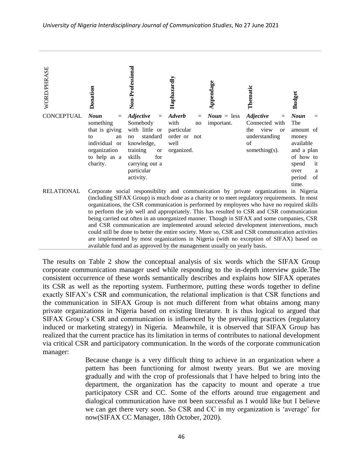

The results on Table 2 show the conceptual analysis of six words which the SIFAX Group corporate communication manager used while responding to the in-depth interview guide.The consistent occurrence of these words semantically describes and explains how SIFAX operates its CSR as well as the reporting system. Furthermore, putting these words together to define exactly SIFAX"s CSR and communication, the relational implication is that CSR functions and the communication in SIFAX Group is not much different from what obtains among many private organizations in Nigeria based on existing literature. It is thus logical to argued that SIFAX Group"s CSR and communication is influenced by the prevailing practices (regulatory induced or marketing strategy) in Nigeria. Meanwhile, it is observed that SIFAX Group has realized that the current practice has its limitation in terms of contributes to national development via critical CSR and participatory communication. In the words of the corporate communication manager:

> Because change is a very difficult thing to achieve in an organization where a pattern has been functioning for almost twenty years. But we are moving gradually and with the crop of professionals that I have helped to bring into the department, the organization has the capacity to mount and operate a true participatory CSR and CC. Some of the efforts around true engagement and dialogical communication have not been successful as I would like but I believe we can get there very soon. So CSR and CC in my organization is "average" for now(SIFAX CC Manager, 18th October, 2020).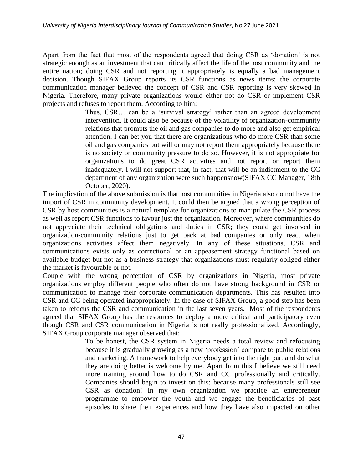Apart from the fact that most of the respondents agreed that doing CSR as "donation" is not strategic enough as an investment that can critically affect the life of the host community and the entire nation; doing CSR and not reporting it appropriately is equally a bad management decision. Though SIFAX Group reports its CSR functions as news items; the corporate communication manager believed the concept of CSR and CSR reporting is very skewed in Nigeria. Therefore, many private organizations would either not do CSR or implement CSR projects and refuses to report them. According to him:

> Thus, CSR... can be a 'survival strategy' rather than an agreed development intervention. It could also be because of the volatility of organization-community relations that prompts the oil and gas companies to do more and also get empirical attention. I can bet you that there are organizations who do more CSR than some oil and gas companies but will or may not report them appropriately because there is no society or community pressure to do so. However, it is not appropriate for organizations to do great CSR activities and not report or report them inadequately. I will not support that, in fact, that will be an indictment to the CC department of any organization were such happensnow(SIFAX CC Manager, 18th October, 2020).

The implication of the above submission is that host communities in Nigeria also do not have the import of CSR in community development. It could then be argued that a wrong perception of CSR by host communities is a natural template for organizations to manipulate the CSR process as well as report CSR functions to favour just the organization. Moreover, where communities do not appreciate their technical obligations and duties in CSR; they could get involved in organization-community relations just to get back at bad companies or only react when organizations activities affect them negatively. In any of these situations, CSR and communications exists only as correctional or an appeasement strategy functional based on available budget but not as a business strategy that organizations must regularly obliged either the market is favourable or not.

Couple with the wrong perception of CSR by organizations in Nigeria, most private organizations employ different people who often do not have strong background in CSR or communication to manage their corporate communication departments. This has resulted into CSR and CC being operated inappropriately. In the case of SIFAX Group, a good step has been taken to refocus the CSR and communication in the last seven years. Most of the respondents agreed that SIFAX Group has the resources to deploy a more critical and participatory even though CSR and CSR communication in Nigeria is not really professionalized. Accordingly, SIFAX Group corporate manager observed that:

To be honest, the CSR system in Nigeria needs a total review and refocusing because it is gradually growing as a new "profession" compare to public relations and marketing. A framework to help everybody get into the right part and do what they are doing better is welcome by me. Apart from this I believe we still need more training around how to do CSR and CC professionally and critically. Companies should begin to invest on this; because many professionals still see CSR as donation! In my own organization we practice an entrepreneur programme to empower the youth and we engage the beneficiaries of past episodes to share their experiences and how they have also impacted on other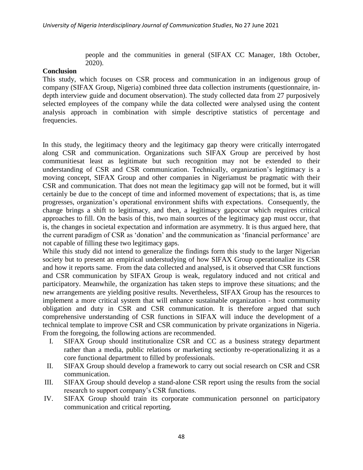people and the communities in general (SIFAX CC Manager, 18th October, 2020).

# **Conclusion**

This study, which focuses on CSR process and communication in an indigenous group of company (SIFAX Group, Nigeria) combined three data collection instruments (questionnaire, indepth interview guide and document observation). The study collected data from 27 purposively selected employees of the company while the data collected were analysed using the content analysis approach in combination with simple descriptive statistics of percentage and frequencies.

In this study, the legitimacy theory and the legitimacy gap theory were critically interrogated along CSR and communication. Organizations such SIFAX Group are perceived by host communitiesat least as legitimate but such recognition may not be extended to their understanding of CSR and CSR communication. Technically, organization"s legitimacy is a moving concept, SIFAX Group and other companies in Nigeriamust be pragmatic with their CSR and communication. That does not mean the legitimacy gap will not be formed, but it will certainly be due to the concept of time and informed movement of expectations; that is, as time progresses, organization"s operational environment shifts with expectations. Consequently, the change brings a shift to legitimacy, and then, a legitimacy gapoccur which requires critical approaches to fill. On the basis of this, two main sources of the legitimacy gap must occur, that is, the changes in societal expectation and information are asymmetry. It is thus argued here, that the current paradigm of CSR as 'donation' and the communication as 'financial performance' are not capable of filling these two legitimacy gaps.

While this study did not intend to generalize the findings form this study to the larger Nigerian society but to present an empirical understudying of how SIFAX Group operationalize its CSR and how it reports same. From the data collected and analysed, is it observed that CSR functions and CSR communication by SIFAX Group is weak, regulatory induced and not critical and participatory. Meanwhile, the organization has taken steps to improve these situations; and the new arrangements are yielding positive results. Nevertheless, SIFAX Group has the resources to implement a more critical system that will enhance sustainable organization - host community obligation and duty in CSR and CSR communication. It is therefore argued that such comprehensive understanding of CSR functions in SIFAX will induce the development of a technical template to improve CSR and CSR communication by private organizations in Nigeria. From the foregoing, the following actions are recommended.

- I. SIFAX Group should institutionalize CSR and CC as a business strategy department rather than a media, public relations or marketing sectionby re-operationalizing it as a core functional department to filled by professionals.
- II. SIFAX Group should develop a framework to carry out social research on CSR and CSR communication.
- III. SIFAX Group should develop a stand-alone CSR report using the results from the social research to support company's CSR functions.
- IV. SIFAX Group should train its corporate communication personnel on participatory communication and critical reporting.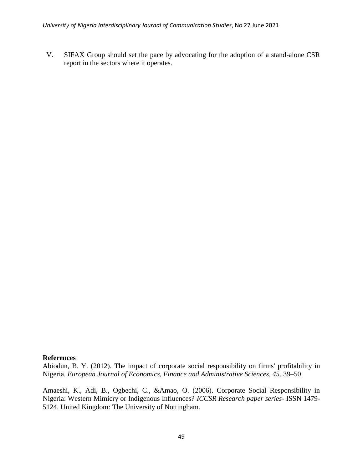V. SIFAX Group should set the pace by advocating for the adoption of a stand-alone CSR report in the sectors where it operates.

## **References**

Abiodun, B. Y. (2012). The impact of corporate social responsibility on firms' profitability in Nigeria. *European Journal of Economics, Finance and Administrative Sciences, 45*. 39–50.

Amaeshi, K., Adi, B., Ogbechi, C., &Amao, O. (2006). Corporate Social Responsibility in Nigeria: Western Mimicry or Indigenous Influences? *ICCSR Research paper series*- ISSN 1479- 5124. United Kingdom: The University of Nottingham.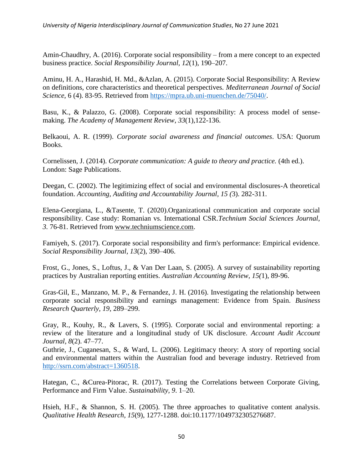Amin-Chaudhry, A. (2016). Corporate social responsibility – from a mere concept to an expected business practice. *Social Responsibility Journal, 12*(1), 190–207.

Aminu, H. A., Harashid, H. Md., &Azlan, A. (2015). Corporate Social Responsibility: A Review on definitions, core characteristics and theoretical perspectives. *Mediterranean Journal of Social Science*, 6 (4). 83-95. Retrieved from [https://mpra.ub.uni-muenchen.de/75040/.](https://mpra.ub.uni-muenchen.de/75040/)

Basu, K., & Palazzo, G. (2008). Corporate social responsibility: A process model of sensemaking. *The Academy of Management Review*, *33*(1),122-136.

Belkaoui, A. R. (1999). *Corporate social awareness and financial outcomes*. USA: Quorum Books.

Cornelissen, J. (2014). *Corporate communication: A guide to theory and practice.* (4th ed.). London: Sage Publications.

Deegan, C. (2002). The legitimizing effect of social and environmental disclosures-A theoretical foundation. *Accounting, Auditing and Accountability Journal, 15 (*3). 282-311.

Elena-Georgiana, L., &Tasente, T. (2020).Organizational communication and corporate social responsibility. Case study: Romanian vs. International CSR.*Technium Social Sciences Journal, 3.* 76-81. Retrieved from [www.techniumscience.com.](http://www.techniumscience.com/)

Famiyeh, S. (2017). Corporate social responsibility and firm's performance: Empirical evidence. *Social Responsibility Journal, 13*(2), 390–406.

Frost, G., Jones, S., Loftus, J., & Van Der Laan, S. (2005). A survey of sustainability reporting practices by Australian reporting entities. *Australian Accounting Review, 15(*1), 89-96.

Gras-Gil, E., Manzano, M. P., & Fernandez, J. H. (2016). Investigating the relationship between corporate social responsibility and earnings management: Evidence from Spain. *Business Research Quarterly, 19*, 289–299.

Gray, R., Kouhy, R., & Lavers, S. (1995). Corporate social and environmental reporting: a review of the literature and a longitudinal study of UK disclosure. *Account Audit Account Journal, 8*(2). 47–77.

Guthrie, J., Cuganesan, S., & Ward, L. (2006). Legitimacy theory: A story of reporting social and environmental matters within the Australian food and beverage industry. Retrieved from [http://ssrn.com/abstract=1360518.](http://ssrn.com/abstract=1360518)

Hategan, C., &Curea-Pitorac, R. (2017). Testing the Correlations between Corporate Giving, Performance and Firm Value. *Sustainability, 9*. 1–20.

Hsieh, H.F., & Shannon, S. H. (2005). The three approaches to qualitative content analysis. *Qualitative Health Research, 15*(9), 1277-1288. doi:10.1177/1049732305276687.